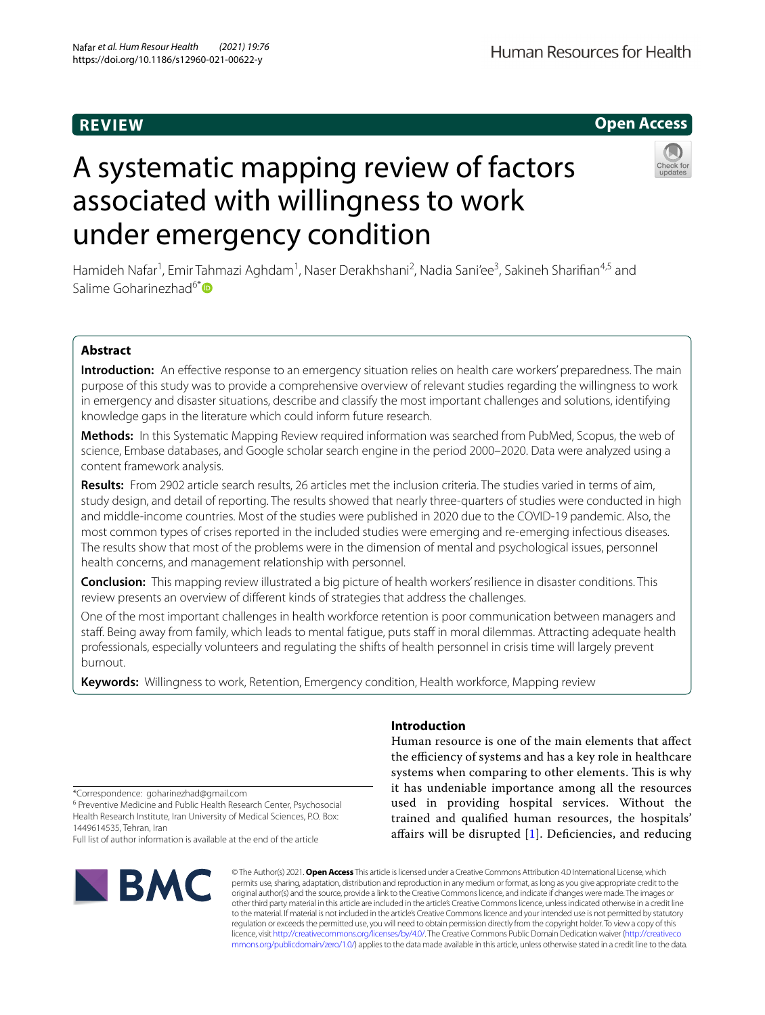# **REVIEW**



# A systematic mapping review of factors associated with willingness to work under emergency condition



Hamideh Nafar<sup>1</sup>, Emir Tahmazi Aghdam<sup>1</sup>, Naser Derakhshani<sup>2</sup>, Nadia Sani'ee<sup>3</sup>, Sakineh Sharifian<sup>4,5</sup> and Salime Goharinezhad<sup>6[\\*](http://orcid.org/0000-0001-8565-3606)</sup>

## **Abstract**

**Introduction:** An efective response to an emergency situation relies on health care workers' preparedness. The main purpose of this study was to provide a comprehensive overview of relevant studies regarding the willingness to work in emergency and disaster situations, describe and classify the most important challenges and solutions, identifying knowledge gaps in the literature which could inform future research.

**Methods:** In this Systematic Mapping Review required information was searched from PubMed, Scopus, the web of science, Embase databases, and Google scholar search engine in the period 2000–2020. Data were analyzed using a content framework analysis.

**Results:** From 2902 article search results, 26 articles met the inclusion criteria. The studies varied in terms of aim, study design, and detail of reporting. The results showed that nearly three-quarters of studies were conducted in high and middle-income countries. Most of the studies were published in 2020 due to the COVID-19 pandemic. Also, the most common types of crises reported in the included studies were emerging and re-emerging infectious diseases. The results show that most of the problems were in the dimension of mental and psychological issues, personnel health concerns, and management relationship with personnel.

**Conclusion:** This mapping review illustrated a big picture of health workers' resilience in disaster conditions. This review presents an overview of diferent kinds of strategies that address the challenges.

One of the most important challenges in health workforce retention is poor communication between managers and staff. Being away from family, which leads to mental fatigue, puts staff in moral dilemmas. Attracting adequate health professionals, especially volunteers and regulating the shifts of health personnel in crisis time will largely prevent burnout.

**Keywords:** Willingness to work, Retention, Emergency condition, Health workforce, Mapping review

## **Introduction**

Human resource is one of the main elements that afect the efficiency of systems and has a key role in healthcare systems when comparing to other elements. This is why it has undeniable importance among all the resources used in providing hospital services. Without the trained and qualifed human resources, the hospitals' afairs will be disrupted [[1](#page-8-0)]. Defciencies, and reducing

\*Correspondence: goharinezhad@gmail.com

<sup>6</sup> Preventive Medicine and Public Health Research Center, Psychosocial Health Research Institute, Iran University of Medical Sciences, P.O. Box: 1449614535, Tehran, Iran

Full list of author information is available at the end of the article



© The Author(s) 2021. **Open Access** This article is licensed under a Creative Commons Attribution 4.0 International License, which permits use, sharing, adaptation, distribution and reproduction in any medium or format, as long as you give appropriate credit to the original author(s) and the source, provide a link to the Creative Commons licence, and indicate if changes were made. The images or other third party material in this article are included in the article's Creative Commons licence, unless indicated otherwise in a credit line to the material. If material is not included in the article's Creative Commons licence and your intended use is not permitted by statutory regulation or exceeds the permitted use, you will need to obtain permission directly from the copyright holder. To view a copy of this licence, visit [http://creativecommons.org/licenses/by/4.0/.](http://creativecommons.org/licenses/by/4.0/) The Creative Commons Public Domain Dedication waiver ([http://creativeco](http://creativecommons.org/publicdomain/zero/1.0/) [mmons.org/publicdomain/zero/1.0/](http://creativecommons.org/publicdomain/zero/1.0/)) applies to the data made available in this article, unless otherwise stated in a credit line to the data.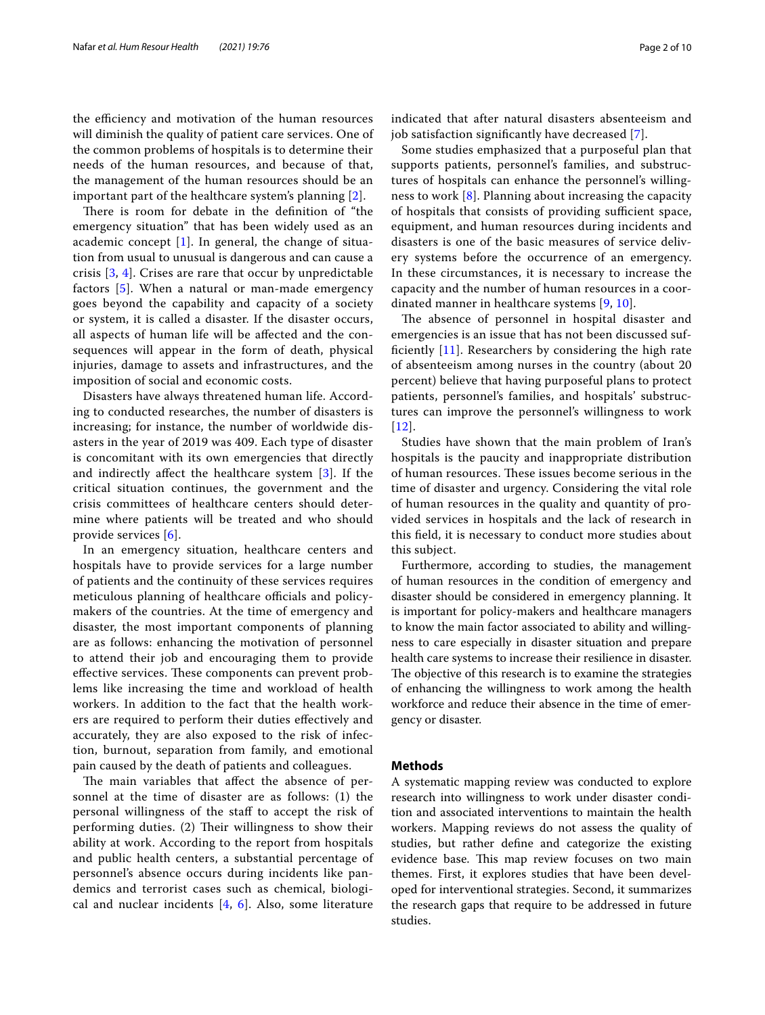the efficiency and motivation of the human resources will diminish the quality of patient care services. One of the common problems of hospitals is to determine their needs of the human resources, and because of that, the management of the human resources should be an important part of the healthcare system's planning [\[2](#page-9-0)].

There is room for debate in the definition of "the emergency situation" that has been widely used as an academic concept  $[1]$  $[1]$ . In general, the change of situation from usual to unusual is dangerous and can cause a crisis [[3,](#page-9-1) [4](#page-9-2)]. Crises are rare that occur by unpredictable factors [\[5](#page-9-3)]. When a natural or man-made emergency goes beyond the capability and capacity of a society or system, it is called a disaster. If the disaster occurs, all aspects of human life will be afected and the consequences will appear in the form of death, physical injuries, damage to assets and infrastructures, and the imposition of social and economic costs.

Disasters have always threatened human life. According to conducted researches, the number of disasters is increasing; for instance, the number of worldwide disasters in the year of 2019 was 409. Each type of disaster is concomitant with its own emergencies that directly and indirectly afect the healthcare system [\[3](#page-9-1)]. If the critical situation continues, the government and the crisis committees of healthcare centers should determine where patients will be treated and who should provide services [\[6](#page-9-4)].

In an emergency situation, healthcare centers and hospitals have to provide services for a large number of patients and the continuity of these services requires meticulous planning of healthcare officials and policymakers of the countries. At the time of emergency and disaster, the most important components of planning are as follows: enhancing the motivation of personnel to attend their job and encouraging them to provide effective services. These components can prevent problems like increasing the time and workload of health workers. In addition to the fact that the health workers are required to perform their duties efectively and accurately, they are also exposed to the risk of infection, burnout, separation from family, and emotional pain caused by the death of patients and colleagues.

The main variables that affect the absence of personnel at the time of disaster are as follows: (1) the personal willingness of the staf to accept the risk of performing duties. (2) Their willingness to show their ability at work. According to the report from hospitals and public health centers, a substantial percentage of personnel's absence occurs during incidents like pandemics and terrorist cases such as chemical, biological and nuclear incidents  $[4, 6]$  $[4, 6]$  $[4, 6]$  $[4, 6]$  $[4, 6]$ . Also, some literature

indicated that after natural disasters absenteeism and job satisfaction signifcantly have decreased [[7\]](#page-9-5).

Some studies emphasized that a purposeful plan that supports patients, personnel's families, and substructures of hospitals can enhance the personnel's willingness to work [\[8](#page-9-6)]. Planning about increasing the capacity of hospitals that consists of providing sufficient space, equipment, and human resources during incidents and disasters is one of the basic measures of service delivery systems before the occurrence of an emergency. In these circumstances, it is necessary to increase the capacity and the number of human resources in a coordinated manner in healthcare systems [[9,](#page-9-7) [10\]](#page-9-8).

The absence of personnel in hospital disaster and emergencies is an issue that has not been discussed suffciently [[11](#page-9-9)]. Researchers by considering the high rate of absenteeism among nurses in the country (about 20 percent) believe that having purposeful plans to protect patients, personnel's families, and hospitals' substructures can improve the personnel's willingness to work [[12](#page-9-10)].

Studies have shown that the main problem of Iran's hospitals is the paucity and inappropriate distribution of human resources. These issues become serious in the time of disaster and urgency. Considering the vital role of human resources in the quality and quantity of provided services in hospitals and the lack of research in this feld, it is necessary to conduct more studies about this subject.

Furthermore, according to studies, the management of human resources in the condition of emergency and disaster should be considered in emergency planning. It is important for policy-makers and healthcare managers to know the main factor associated to ability and willingness to care especially in disaster situation and prepare health care systems to increase their resilience in disaster. The objective of this research is to examine the strategies of enhancing the willingness to work among the health workforce and reduce their absence in the time of emergency or disaster.

#### **Methods**

A systematic mapping review was conducted to explore research into willingness to work under disaster condition and associated interventions to maintain the health workers. Mapping reviews do not assess the quality of studies, but rather defne and categorize the existing evidence base. This map review focuses on two main themes. First, it explores studies that have been developed for interventional strategies. Second, it summarizes the research gaps that require to be addressed in future studies.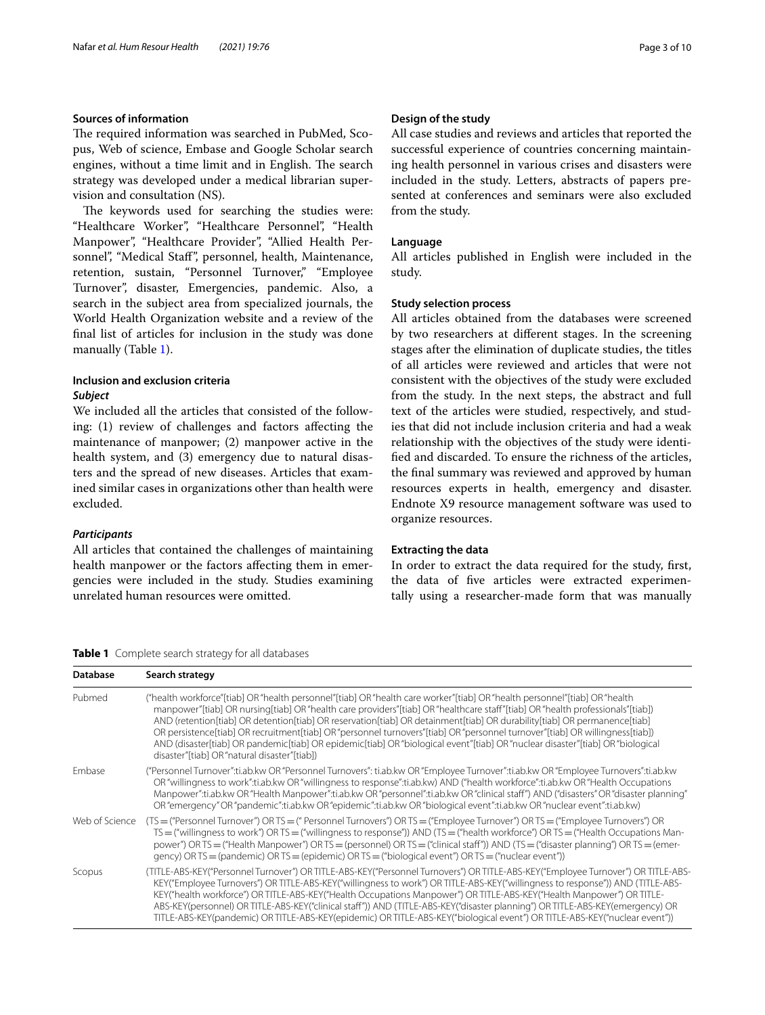## **Sources of information**

The required information was searched in PubMed, Scopus, Web of science, Embase and Google Scholar search engines, without a time limit and in English. The search strategy was developed under a medical librarian supervision and consultation (NS).

The keywords used for searching the studies were: "Healthcare Worker", "Healthcare Personnel", "Health Manpower", "Healthcare Provider", "Allied Health Personnel", "Medical Staf", personnel, health, Maintenance, retention, sustain, "Personnel Turnover," "Employee Turnover", disaster, Emergencies, pandemic. Also, a search in the subject area from specialized journals, the World Health Organization website and a review of the fnal list of articles for inclusion in the study was done manually (Table [1](#page-2-0)).

## **Inclusion and exclusion criteria** *Subject*

We included all the articles that consisted of the following: (1) review of challenges and factors afecting the maintenance of manpower; (2) manpower active in the health system, and (3) emergency due to natural disasters and the spread of new diseases. Articles that examined similar cases in organizations other than health were excluded.

## *Participants*

All articles that contained the challenges of maintaining health manpower or the factors afecting them in emergencies were included in the study. Studies examining unrelated human resources were omitted.

## **Design of the study**

All case studies and reviews and articles that reported the successful experience of countries concerning maintaining health personnel in various crises and disasters were included in the study. Letters, abstracts of papers presented at conferences and seminars were also excluded from the study.

#### **Language**

All articles published in English were included in the study.

#### **Study selection process**

All articles obtained from the databases were screened by two researchers at diferent stages. In the screening stages after the elimination of duplicate studies, the titles of all articles were reviewed and articles that were not consistent with the objectives of the study were excluded from the study. In the next steps, the abstract and full text of the articles were studied, respectively, and studies that did not include inclusion criteria and had a weak relationship with the objectives of the study were identifed and discarded. To ensure the richness of the articles, the fnal summary was reviewed and approved by human resources experts in health, emergency and disaster. Endnote X9 resource management software was used to organize resources.

#### **Extracting the data**

In order to extract the data required for the study, frst, the data of fve articles were extracted experimentally using a researcher-made form that was manually

<span id="page-2-0"></span>**Table 1** Complete search strategy for all databases

| <b>Database</b> | Search strategy                                                                                                                                                                                                                                                                                                                                                                                                                                                                                                                                                                                                                                                                                             |
|-----------------|-------------------------------------------------------------------------------------------------------------------------------------------------------------------------------------------------------------------------------------------------------------------------------------------------------------------------------------------------------------------------------------------------------------------------------------------------------------------------------------------------------------------------------------------------------------------------------------------------------------------------------------------------------------------------------------------------------------|
| Pubmed          | ("health workforce"[tiab] OR "health personnel"[tiab] OR "health care worker"[tiab] OR "health personnel"[tiab] OR "health<br>manpower"[tiab] OR nursing[tiab] OR "health care providers"[tiab] OR "healthcare staff"[tiab] OR "health professionals"[tiab])<br>AND (retention[tiab] OR detention[tiab] OR reservation[tiab] OR detainment[tiab] OR durability[tiab] OR permanence[tiab]<br>OR persistence[tiab] OR recruitment[tiab] OR "personnel turnovers"[tiab] OR "personnel turnover"[tiab] OR willingness[tiab])<br>AND (disaster/[tiab] OR pandemic[tiab] OR epidemic[tiab] OR "biological event"[tiab] OR "nuclear disaster"[tiab] OR "biological<br>disaster"[tiab] OR "natural disaster"[tiab]) |
| Embase          | ("Personnel Turnover":ti.ab.kw OR "Personnel Turnovers": ti.ab.kw OR "Employee Turnover":ti.ab.kw OR "Employee Turnovers":ti.ab.kw<br>OR "willingness to work":ti.ab.kw OR "willingness to response":ti.ab.kw) AND ("health workforce":ti.ab.kw OR "Health Occupations<br>"Manpower":ti.ab.kw OR "Health Manpower":ti.ab.kw OR "personnel":ti.ab.kw OR "clinical staff") AND ("disasters" OR "disaster planning"<br>OR "emergency" OR "pandemic":ti.ab.kw OR "epidemic":ti.ab.kw OR "biological event":ti.ab.kw OR "nuclear event":ti.ab.kw)                                                                                                                                                                |
| Web of Science  | (TS = ("Personnel Turnover") OR TS = (" Personnel Turnovers") OR TS = ("Employee Turnover") OR TS = ("Employee Turnovers") OR<br>$TS = ("willingness to work") OR TS = ("willingness to response") AND (TS = ("health workforce") OR TS = ("Health Occupations Man-$<br>power") OR TS = ("Health Manpower") OR TS = (personnel) OR TS = ("clinical staff")) AND (TS = ("disaster planning") OR TS = (emer-<br>gency) OR TS = (pandemic) OR TS = (epidemic) OR TS = ("biological event") OR TS = ("nuclear event"))                                                                                                                                                                                          |
| Scopus          | (TITLE-ABS-KEY("Personnel Turnover") OR TITLE-ABS-KEY("Personnel Turnovers") OR TITLE-ABS-KEY("Employee Turnover") OR TITLE-ABS-<br>KEY("Employee Turnovers") OR TITLE-ABS-KEY("willingness to work") OR TITLE-ABS-KEY("willingness to response")) AND (TITLE-ABS-<br>KEY("health workforce") OR TITLE-ABS-KEY("Health Occupations Manpower") OR TITLE-ABS-KEY("Health Manpower") OR TITLE-<br>ABS-KEY(personnel) OR TITLE-ABS-KEY("clinical staff")) AND (TITLE-ABS-KEY("disaster planning") OR TITLE-ABS-KEY(emergency) OR<br>TITLE-ABS-KEY(pandemic) OR TITLE-ABS-KEY(epidemic) OR TITLE-ABS-KEY("biological event") OR TITLE-ABS-KEY("nuclear event"))                                                  |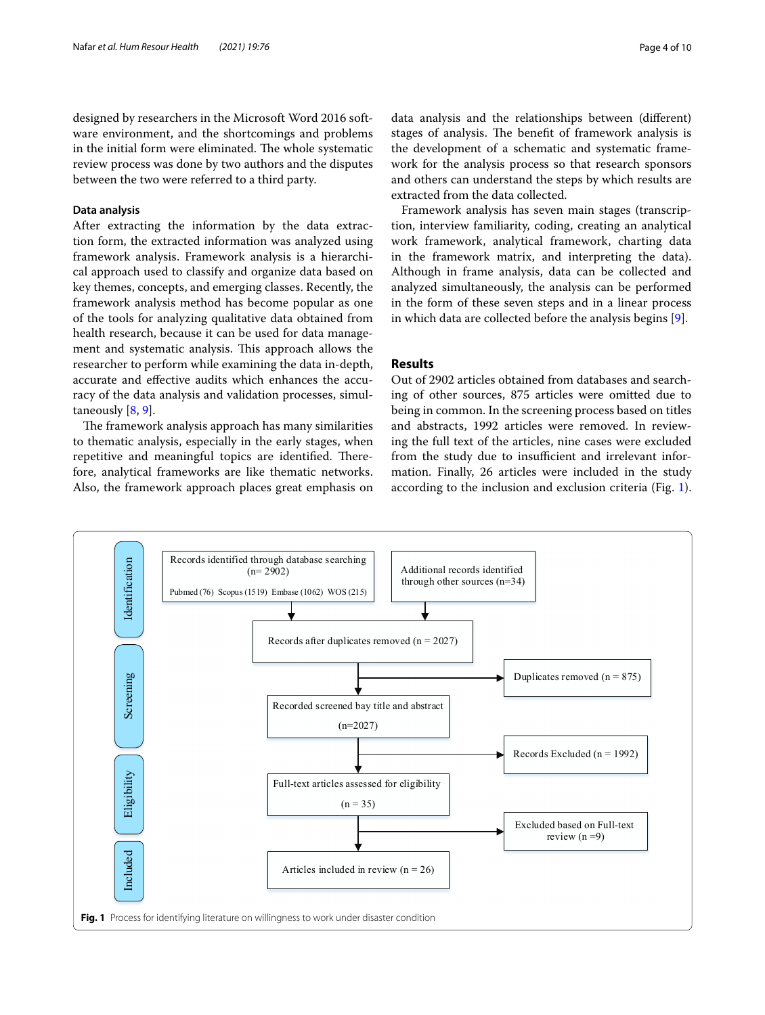designed by researchers in the Microsoft Word 2016 software environment, and the shortcomings and problems in the initial form were eliminated. The whole systematic review process was done by two authors and the disputes between the two were referred to a third party.

#### **Data analysis**

After extracting the information by the data extraction form, the extracted information was analyzed using framework analysis. Framework analysis is a hierarchical approach used to classify and organize data based on key themes, concepts, and emerging classes. Recently, the framework analysis method has become popular as one of the tools for analyzing qualitative data obtained from health research, because it can be used for data management and systematic analysis. This approach allows the researcher to perform while examining the data in-depth, accurate and efective audits which enhances the accuracy of the data analysis and validation processes, simultaneously [\[8](#page-9-6), [9\]](#page-9-7).

The framework analysis approach has many similarities to thematic analysis, especially in the early stages, when repetitive and meaningful topics are identified. Therefore, analytical frameworks are like thematic networks. Also, the framework approach places great emphasis on

data analysis and the relationships between (diferent) stages of analysis. The benefit of framework analysis is the development of a schematic and systematic framework for the analysis process so that research sponsors and others can understand the steps by which results are extracted from the data collected.

Framework analysis has seven main stages (transcription, interview familiarity, coding, creating an analytical work framework, analytical framework, charting data in the framework matrix, and interpreting the data). Although in frame analysis, data can be collected and analyzed simultaneously, the analysis can be performed in the form of these seven steps and in a linear process in which data are collected before the analysis begins [[9](#page-9-7)].

## **Results**

Out of 2902 articles obtained from databases and searching of other sources, 875 articles were omitted due to being in common. In the screening process based on titles and abstracts, 1992 articles were removed. In reviewing the full text of the articles, nine cases were excluded from the study due to insufficient and irrelevant information. Finally, 26 articles were included in the study according to the inclusion and exclusion criteria (Fig. [1](#page-3-0)).

<span id="page-3-0"></span>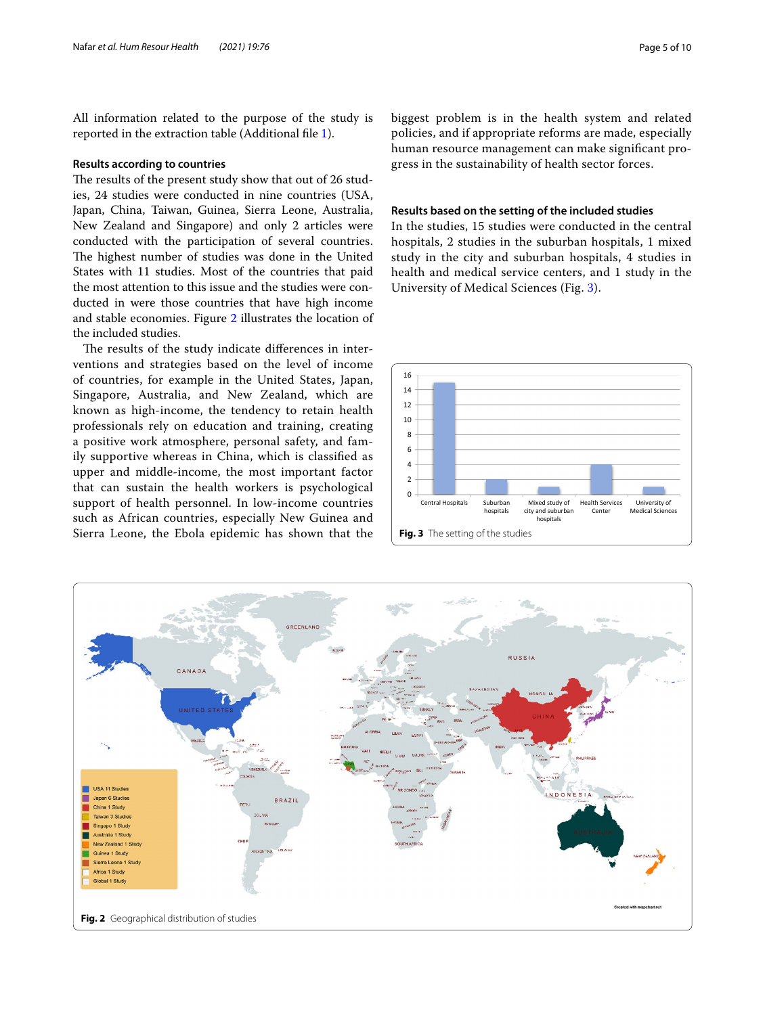All information related to the purpose of the study is reported in the extraction table (Additional fle [1](#page-8-1)).

#### **Results according to countries**

The results of the present study show that out of 26 studies, 24 studies were conducted in nine countries (USA, Japan, China, Taiwan, Guinea, Sierra Leone, Australia, New Zealand and Singapore) and only 2 articles were conducted with the participation of several countries. The highest number of studies was done in the United States with 11 studies. Most of the countries that paid the most attention to this issue and the studies were conducted in were those countries that have high income and stable economies. Figure [2](#page-4-0) illustrates the location of the included studies.

The results of the study indicate differences in interventions and strategies based on the level of income of countries, for example in the United States, Japan, Singapore, Australia, and New Zealand, which are known as high-income, the tendency to retain health professionals rely on education and training, creating a positive work atmosphere, personal safety, and family supportive whereas in China, which is classifed as upper and middle-income, the most important factor that can sustain the health workers is psychological support of health personnel. In low-income countries such as African countries, especially New Guinea and Sierra Leone, the Ebola epidemic has shown that the

biggest problem is in the health system and related policies, and if appropriate reforms are made, especially human resource management can make signifcant progress in the sustainability of health sector forces.

#### **Results based on the setting of the included studies**

In the studies, 15 studies were conducted in the central hospitals, 2 studies in the suburban hospitals, 1 mixed study in the city and suburban hospitals, 4 studies in health and medical service centers, and 1 study in the University of Medical Sciences (Fig. [3\)](#page-4-1).

<span id="page-4-1"></span>

<span id="page-4-0"></span>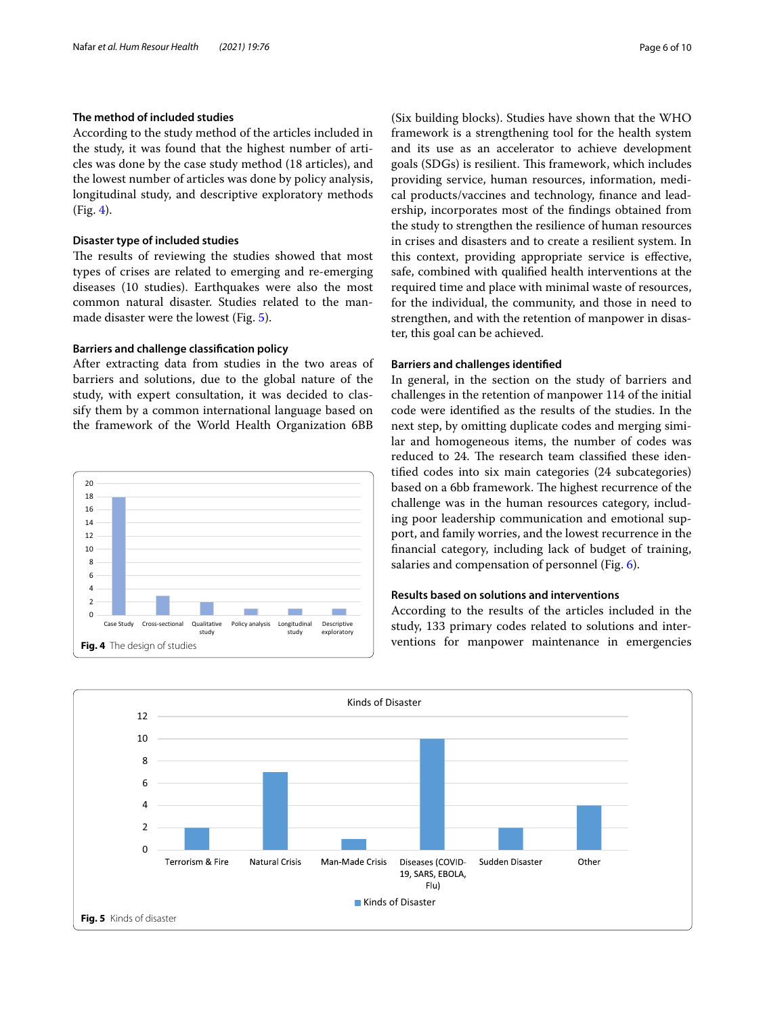## **The method of included studies**

According to the study method of the articles included in the study, it was found that the highest number of articles was done by the case study method (18 articles), and the lowest number of articles was done by policy analysis, longitudinal study, and descriptive exploratory methods (Fig. [4\)](#page-5-0).

#### **Disaster type of included studies**

The results of reviewing the studies showed that most types of crises are related to emerging and re-emerging diseases (10 studies). Earthquakes were also the most common natural disaster. Studies related to the manmade disaster were the lowest (Fig. [5](#page-5-1)).

## **Barriers and challenge classifcation policy**

After extracting data from studies in the two areas of barriers and solutions, due to the global nature of the study, with expert consultation, it was decided to classify them by a common international language based on the framework of the World Health Organization 6BB



(Six building blocks). Studies have shown that the WHO framework is a strengthening tool for the health system and its use as an accelerator to achieve development goals (SDGs) is resilient. This framework, which includes providing service, human resources, information, medical products/vaccines and technology, fnance and leadership, incorporates most of the fndings obtained from the study to strengthen the resilience of human resources in crises and disasters and to create a resilient system. In this context, providing appropriate service is efective, safe, combined with qualifed health interventions at the required time and place with minimal waste of resources, for the individual, the community, and those in need to strengthen, and with the retention of manpower in disaster, this goal can be achieved.

#### **Barriers and challenges identifed**

In general, in the section on the study of barriers and challenges in the retention of manpower 114 of the initial code were identifed as the results of the studies. In the next step, by omitting duplicate codes and merging similar and homogeneous items, the number of codes was reduced to 24. The research team classified these identifed codes into six main categories (24 subcategories) based on a 6bb framework. The highest recurrence of the challenge was in the human resources category, including poor leadership communication and emotional support, and family worries, and the lowest recurrence in the fnancial category, including lack of budget of training, salaries and compensation of personnel (Fig. [6\)](#page-6-0).

## **Results based on solutions and interventions**

According to the results of the articles included in the study, 133 primary codes related to solutions and interventions for manpower maintenance in emergencies

<span id="page-5-1"></span><span id="page-5-0"></span>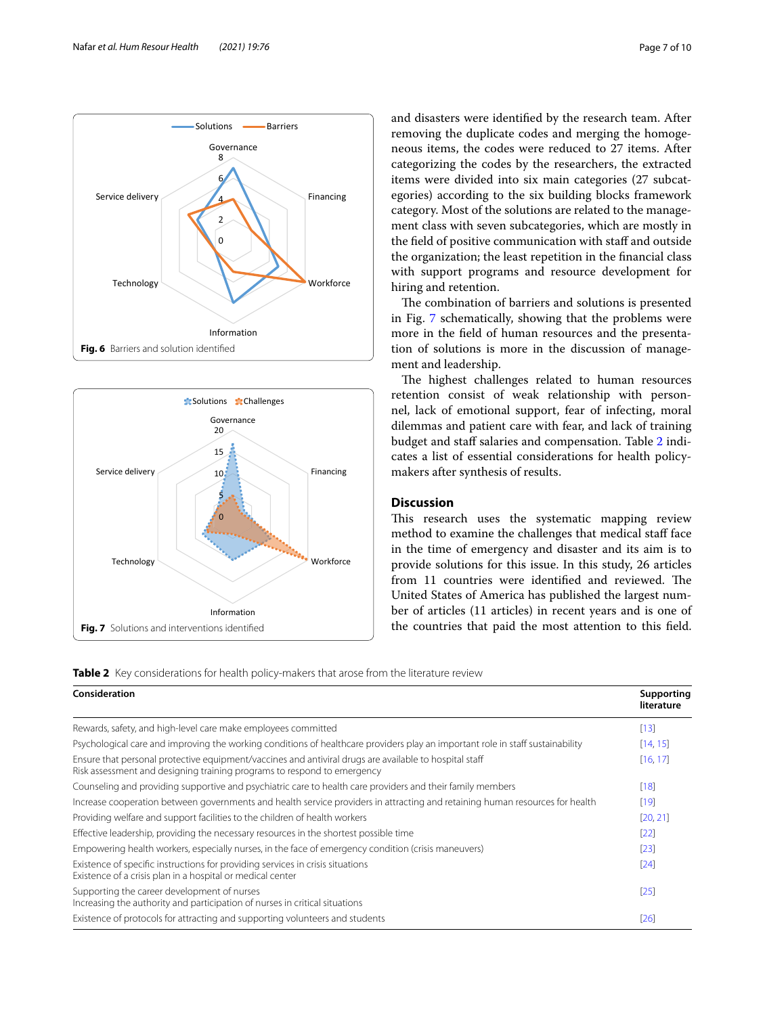and disasters were identifed by the research team. After removing the duplicate codes and merging the homogeneous items, the codes were reduced to 27 items. After categorizing the codes by the researchers, the extracted items were divided into six main categories (27 subcategories) according to the six building blocks framework category. Most of the solutions are related to the management class with seven subcategories, which are mostly in the field of positive communication with staff and outside the organization; the least repetition in the fnancial class with support programs and resource development for hiring and retention.

The combination of barriers and solutions is presented in Fig. [7](#page-6-1) schematically, showing that the problems were more in the feld of human resources and the presentation of solutions is more in the discussion of management and leadership.

The highest challenges related to human resources retention consist of weak relationship with personnel, lack of emotional support, fear of infecting, moral dilemmas and patient care with fear, and lack of training budget and staff salaries and compensation. Table [2](#page-6-2) indicates a list of essential considerations for health policymakers after synthesis of results.

## **Discussion**

This research uses the systematic mapping review method to examine the challenges that medical staff face in the time of emergency and disaster and its aim is to provide solutions for this issue. In this study, 26 articles from 11 countries were identified and reviewed. The United States of America has published the largest number of articles (11 articles) in recent years and is one of the countries that paid the most attention to this feld.

<span id="page-6-2"></span><span id="page-6-1"></span>

| Consideration                                                                                                                                                                     | Supporting<br>literature |
|-----------------------------------------------------------------------------------------------------------------------------------------------------------------------------------|--------------------------|
| Rewards, safety, and high-level care make employees committed                                                                                                                     |                          |
| Psychological care and improving the working conditions of healthcare providers play an important role in staff sustainability                                                    | [14, 15]                 |
| Ensure that personal protective equipment/vaccines and antiviral drugs are available to hospital staff<br>Risk assessment and designing training programs to respond to emergency | [16, 17]                 |
| Counseling and providing supportive and psychiatric care to health care providers and their family members                                                                        | [18]                     |
| Increase cooperation between governments and health service providers in attracting and retaining human resources for health                                                      | $[19]$                   |
| Providing welfare and support facilities to the children of health workers                                                                                                        | [20, 21]                 |
| Effective leadership, providing the necessary resources in the shortest possible time                                                                                             | $[22]$                   |
| Empowering health workers, especially nurses, in the face of emergency condition (crisis maneuvers)                                                                               | $[23]$                   |
| Existence of specific instructions for providing services in crisis situations<br>Existence of a crisis plan in a hospital or medical center                                      | [24]                     |
| Supporting the career development of nurses<br>Increasing the authority and participation of nurses in critical situations                                                        | $[25]$                   |
| Existence of protocols for attracting and supporting volunteers and students                                                                                                      | [26]                     |



<span id="page-6-0"></span>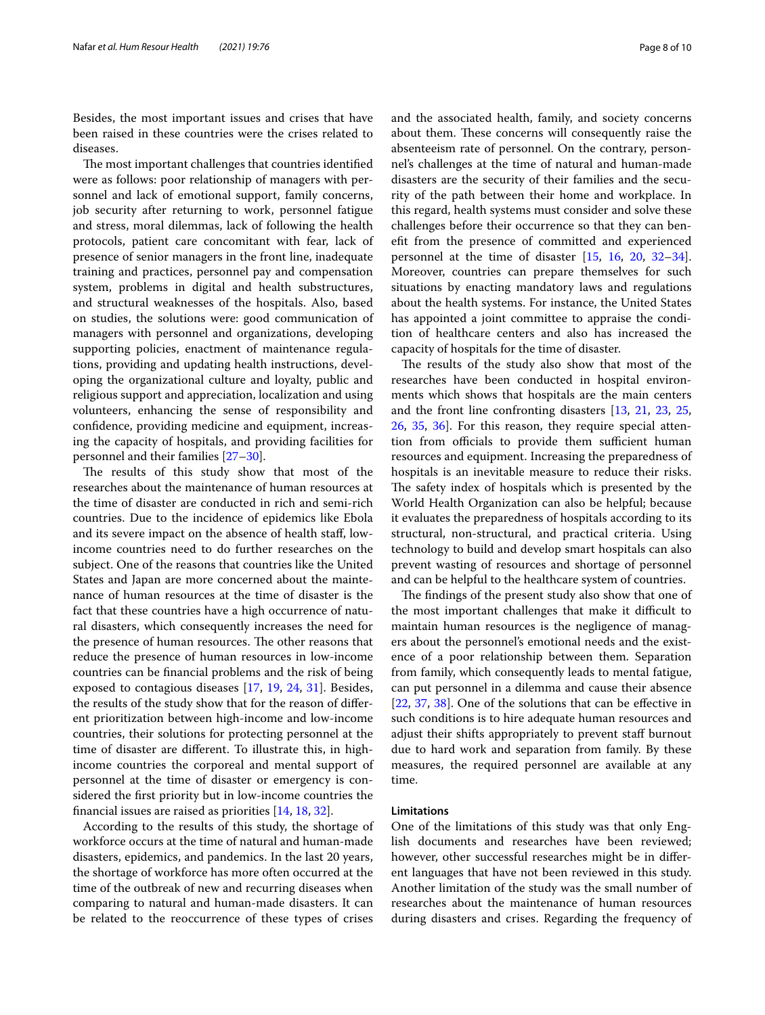Besides, the most important issues and crises that have been raised in these countries were the crises related to diseases.

The most important challenges that countries identified were as follows: poor relationship of managers with personnel and lack of emotional support, family concerns, job security after returning to work, personnel fatigue and stress, moral dilemmas, lack of following the health protocols, patient care concomitant with fear, lack of presence of senior managers in the front line, inadequate training and practices, personnel pay and compensation system, problems in digital and health substructures, and structural weaknesses of the hospitals. Also, based on studies, the solutions were: good communication of managers with personnel and organizations, developing supporting policies, enactment of maintenance regulations, providing and updating health instructions, developing the organizational culture and loyalty, public and religious support and appreciation, localization and using volunteers, enhancing the sense of responsibility and confdence, providing medicine and equipment, increasing the capacity of hospitals, and providing facilities for personnel and their families [\[27–](#page-9-25)[30\]](#page-9-26).

The results of this study show that most of the researches about the maintenance of human resources at the time of disaster are conducted in rich and semi-rich countries. Due to the incidence of epidemics like Ebola and its severe impact on the absence of health staf, lowincome countries need to do further researches on the subject. One of the reasons that countries like the United States and Japan are more concerned about the maintenance of human resources at the time of disaster is the fact that these countries have a high occurrence of natural disasters, which consequently increases the need for the presence of human resources. The other reasons that reduce the presence of human resources in low-income countries can be fnancial problems and the risk of being exposed to contagious diseases [[17](#page-9-15), [19,](#page-9-17) [24](#page-9-22), [31\]](#page-9-27). Besides, the results of the study show that for the reason of diferent prioritization between high-income and low-income countries, their solutions for protecting personnel at the time of disaster are diferent. To illustrate this, in highincome countries the corporeal and mental support of personnel at the time of disaster or emergency is considered the frst priority but in low-income countries the fnancial issues are raised as priorities [[14,](#page-9-12) [18,](#page-9-16) [32](#page-9-28)].

According to the results of this study, the shortage of workforce occurs at the time of natural and human-made disasters, epidemics, and pandemics. In the last 20 years, the shortage of workforce has more often occurred at the time of the outbreak of new and recurring diseases when comparing to natural and human-made disasters. It can be related to the reoccurrence of these types of crises and the associated health, family, and society concerns about them. These concerns will consequently raise the absenteeism rate of personnel. On the contrary, personnel's challenges at the time of natural and human-made disasters are the security of their families and the security of the path between their home and workplace. In this regard, health systems must consider and solve these challenges before their occurrence so that they can beneft from the presence of committed and experienced personnel at the time of disaster [[15](#page-9-13), [16](#page-9-14), [20](#page-9-18), [32](#page-9-28)[–34](#page-9-29)]. Moreover, countries can prepare themselves for such situations by enacting mandatory laws and regulations about the health systems. For instance, the United States has appointed a joint committee to appraise the condition of healthcare centers and also has increased the capacity of hospitals for the time of disaster.

The results of the study also show that most of the researches have been conducted in hospital environments which shows that hospitals are the main centers and the front line confronting disasters [[13](#page-9-11), [21](#page-9-19), [23](#page-9-21), [25](#page-9-23), [26,](#page-9-24) [35,](#page-9-30) [36\]](#page-9-31). For this reason, they require special attention from officials to provide them sufficient human resources and equipment. Increasing the preparedness of hospitals is an inevitable measure to reduce their risks. The safety index of hospitals which is presented by the World Health Organization can also be helpful; because it evaluates the preparedness of hospitals according to its structural, non-structural, and practical criteria. Using technology to build and develop smart hospitals can also prevent wasting of resources and shortage of personnel and can be helpful to the healthcare system of countries.

The findings of the present study also show that one of the most important challenges that make it difficult to maintain human resources is the negligence of managers about the personnel's emotional needs and the existence of a poor relationship between them. Separation from family, which consequently leads to mental fatigue, can put personnel in a dilemma and cause their absence [[22,](#page-9-20) [37,](#page-9-32) [38\]](#page-9-33). One of the solutions that can be effective in such conditions is to hire adequate human resources and adjust their shifts appropriately to prevent staff burnout due to hard work and separation from family. By these measures, the required personnel are available at any time.

#### **Limitations**

One of the limitations of this study was that only English documents and researches have been reviewed; however, other successful researches might be in diferent languages that have not been reviewed in this study. Another limitation of the study was the small number of researches about the maintenance of human resources during disasters and crises. Regarding the frequency of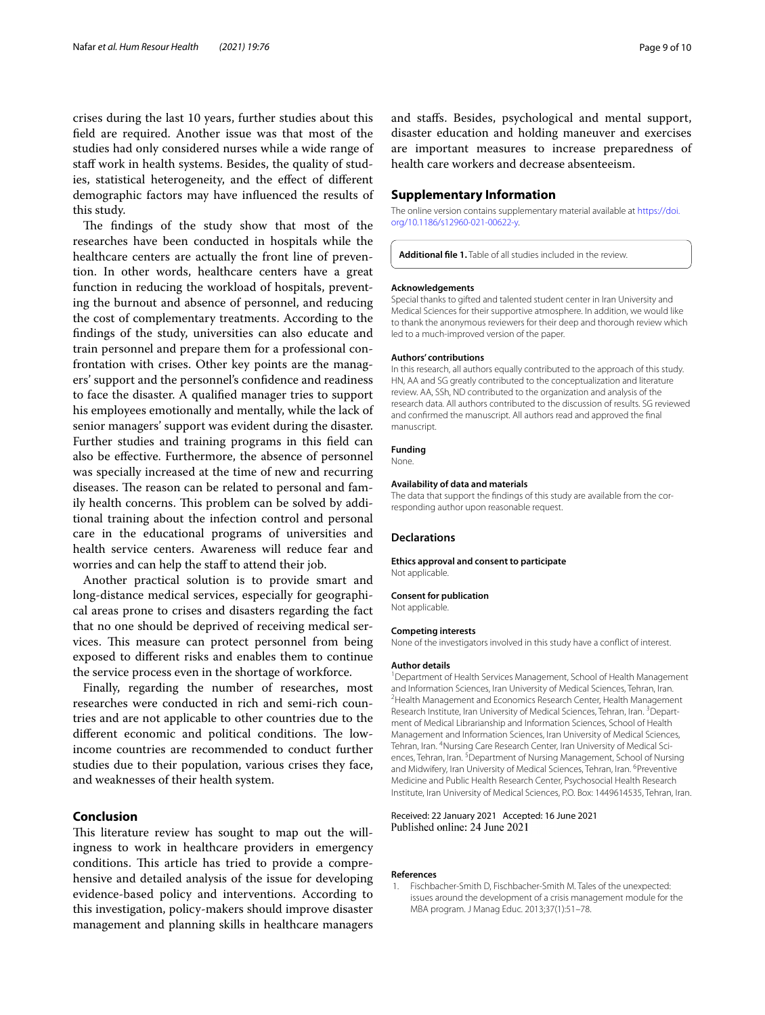crises during the last 10 years, further studies about this feld are required. Another issue was that most of the studies had only considered nurses while a wide range of staff work in health systems. Besides, the quality of studies, statistical heterogeneity, and the efect of diferent demographic factors may have infuenced the results of this study.

The findings of the study show that most of the researches have been conducted in hospitals while the healthcare centers are actually the front line of prevention. In other words, healthcare centers have a great function in reducing the workload of hospitals, preventing the burnout and absence of personnel, and reducing the cost of complementary treatments. According to the fndings of the study, universities can also educate and train personnel and prepare them for a professional confrontation with crises. Other key points are the managers' support and the personnel's confdence and readiness to face the disaster. A qualifed manager tries to support his employees emotionally and mentally, while the lack of senior managers' support was evident during the disaster. Further studies and training programs in this feld can also be efective. Furthermore, the absence of personnel was specially increased at the time of new and recurring diseases. The reason can be related to personal and family health concerns. This problem can be solved by additional training about the infection control and personal care in the educational programs of universities and health service centers. Awareness will reduce fear and worries and can help the staff to attend their job.

Another practical solution is to provide smart and long-distance medical services, especially for geographical areas prone to crises and disasters regarding the fact that no one should be deprived of receiving medical services. This measure can protect personnel from being exposed to diferent risks and enables them to continue the service process even in the shortage of workforce.

Finally, regarding the number of researches, most researches were conducted in rich and semi-rich countries and are not applicable to other countries due to the different economic and political conditions. The lowincome countries are recommended to conduct further studies due to their population, various crises they face, and weaknesses of their health system.

## **Conclusion**

This literature review has sought to map out the willingness to work in healthcare providers in emergency conditions. This article has tried to provide a comprehensive and detailed analysis of the issue for developing evidence-based policy and interventions. According to this investigation, policy-makers should improve disaster management and planning skills in healthcare managers and stafs. Besides, psychological and mental support, disaster education and holding maneuver and exercises are important measures to increase preparedness of health care workers and decrease absenteeism.

#### **Supplementary Information**

The online version contains supplementary material available at [https://doi.](https://doi.org/10.1186/s12960-021-00622-y) [org/10.1186/s12960-021-00622-y.](https://doi.org/10.1186/s12960-021-00622-y)

<span id="page-8-1"></span>**Additional fle 1.** Table of all studies included in the review.

#### **Acknowledgements**

Special thanks to gifted and talented student center in Iran University and Medical Sciences for their supportive atmosphere. In addition, we would like to thank the anonymous reviewers for their deep and thorough review which led to a much-improved version of the paper.

#### **Authors' contributions**

In this research, all authors equally contributed to the approach of this study. HN, AA and SG greatly contributed to the conceptualization and literature review. AA, SSh, ND contributed to the organization and analysis of the research data. All authors contributed to the discussion of results. SG reviewed and confrmed the manuscript. All authors read and approved the fnal manuscript.

#### **Funding**

None.

#### **Availability of data and materials**

The data that support the fndings of this study are available from the corresponding author upon reasonable request.

#### **Declarations**

#### **Ethics approval and consent to participate**

Not applicable.

**Consent for publication**

Not applicable.

#### **Competing interests**

None of the investigators involved in this study have a confict of interest.

#### **Author details**

<sup>1</sup> Department of Health Services Management, School of Health Management and Information Sciences, Iran University of Medical Sciences, Tehran, Iran. 2 <sup>2</sup> Health Management and Economics Research Center, Health Management Research Institute, Iran University of Medical Sciences, Tehran, Iran. <sup>3</sup> Department of Medical Librarianship and Information Sciences, School of Health Management and Information Sciences, Iran University of Medical Sciences, Tehran, Iran. <sup>4</sup>Nursing Care Research Center, Iran University of Medical Sciences, Tehran, Iran.<sup>5</sup> Department of Nursing Management, School of Nursing and Midwifery, Iran University of Medical Sciences, Tehran, Iran. <sup>6</sup>Preventive Medicine and Public Health Research Center, Psychosocial Health Research Institute, Iran University of Medical Sciences, P.O. Box: 1449614535, Tehran, Iran.

#### Received: 22 January 2021 Accepted: 16 June 2021 Published online: 24 June 2021

#### **References**

<span id="page-8-0"></span>1. Fischbacher-Smith D, Fischbacher-Smith M. Tales of the unexpected: issues around the development of a crisis management module for the MBA program. J Manag Educ. 2013;37(1):51–78.